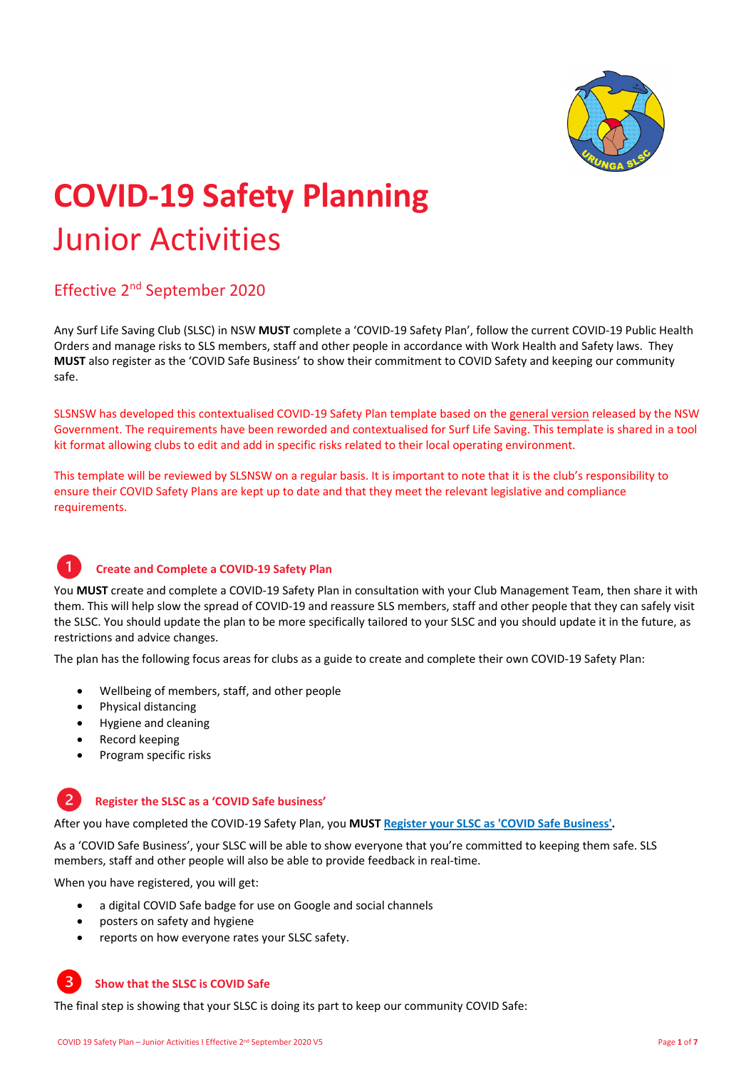

# **COVID‐<sup>19</sup> Safety Planning** Junior Activities

## Effective 2nd September 2020

Any Surf Life Saving Club (SLSC) in NSW **MUST** complete a 'COVID‐19 Safety Plan', follow the current COVID‐19 Public Health Orders and manage risks to SLS members, staff and other people in accordance with Work Health and Safety laws. They **MUST** also register as the 'COVID Safe Business' to show their commitment to COVID Safety and keeping our community safe.

SLSNSW has developed this contextualised COVID‐19 Safety Plan template based on the general version released by the NSW Government. The requirements have been reworded and contextualised for Surf Life Saving. This template is shared in a tool kit format allowing clubs to edit and add in specific risks related to their local operating environment.

This template will be reviewed by SLSNSW on a regular basis. It is important to note that it is the club's responsibility to ensure their COVID Safety Plans are kept up to date and that they meet the relevant legislative and compliance requirements.

#### **Create and Complete a COVID‐19 Safety Plan**

You MUST create and complete a COVID-19 Safety Plan in consultation with your Club Management Team, then share it with them. This will help slow the spread of COVID‐19 and reassure SLS members, staff and other people that they can safely visit the SLSC. You should update the plan to be more specifically tailored to your SLSC and you should update it in the future, as restrictions and advice changes.

The plan has the following focus areas for clubs as a guide to create and complete their own COVID‐19 Safety Plan:

- Wellbeing of members, staff, and other people
- Physical distancing
- Hygiene and cleaning
- Record keeping
- Program specific risks

#### $\overline{2}$ **Register the SLSC as a 'COVID Safe business'**

After you have completed the COVID‐19 Safety Plan, you **MUST Register your SLSC as 'COVID Safe Business'.**

As a 'COVID Safe Business', your SLSC will be able to show everyone that you're committed to keeping them safe. SLS members, staff and other people will also be able to provide feedback in real‐time.

When you have registered, you will get:

- a digital COVID Safe badge for use on Google and social channels
- posters on safety and hygiene
- reports on how everyone rates your SLSC safety.

#### **Show that the SLSC is COVID Safe**

3

The final step is showing that your SLSC is doing its part to keep our community COVID Safe: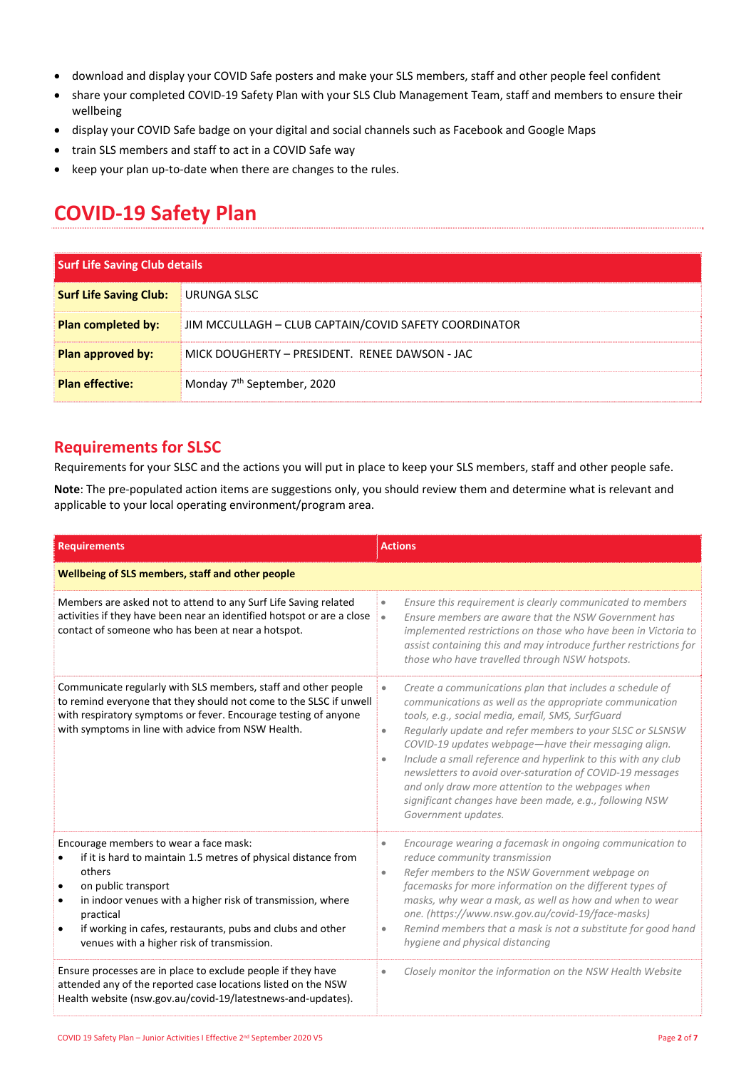- download and display your COVID Safe posters and make your SLS members, staff and other people feel confident
- share your completed COVID‐19 Safety Plan with your SLS Club Management Team, staff and members to ensure their wellbeing
- display your COVID Safe badge on your digital and social channels such as Facebook and Google Maps
- train SLS members and staff to act in a COVID Safe way
- keep your plan up-to-date when there are changes to the rules.

# **COVID‐19 Safety Plan**

| <b>Surf Life Saving Club details</b> |                                                       |
|--------------------------------------|-------------------------------------------------------|
| <b>Surf Life Saving Club:</b>        | URUNGA SLSC                                           |
| <b>Plan completed by:</b>            | JIM MCCULLAGH - CLUB CAPTAIN/COVID SAFETY COORDINATOR |
| Plan approved by:                    | MICK DOUGHERTY - PRESIDENT. RENEE DAWSON - JAC        |
| <b>Plan effective:</b>               | Monday 7 <sup>th</sup> September, 2020                |

### **Requirements for SLSC**

Requirements for your SLSC and the actions you will put in place to keep your SLS members, staff and other people safe.

**Note**: The pre‐populated action items are suggestions only, you should review them and determine what is relevant and applicable to your local operating environment/program area.

| <b>Requirements</b>                                                                                                                                                                                                                                                                                                              | <b>Actions</b>                                                                                                                                                                                                                                                                                                                                                                                                                                                                                                                                                                                           |  |
|----------------------------------------------------------------------------------------------------------------------------------------------------------------------------------------------------------------------------------------------------------------------------------------------------------------------------------|----------------------------------------------------------------------------------------------------------------------------------------------------------------------------------------------------------------------------------------------------------------------------------------------------------------------------------------------------------------------------------------------------------------------------------------------------------------------------------------------------------------------------------------------------------------------------------------------------------|--|
| Wellbeing of SLS members, staff and other people                                                                                                                                                                                                                                                                                 |                                                                                                                                                                                                                                                                                                                                                                                                                                                                                                                                                                                                          |  |
| Members are asked not to attend to any Surf Life Saving related<br>activities if they have been near an identified hotspot or are a close<br>contact of someone who has been at near a hotspot.                                                                                                                                  | Ensure this requirement is clearly communicated to members<br>$\bullet$<br>Ensure members are aware that the NSW Government has<br>$\bullet$<br>implemented restrictions on those who have been in Victoria to<br>assist containing this and may introduce further restrictions for<br>those who have travelled through NSW hotspots.                                                                                                                                                                                                                                                                    |  |
| Communicate regularly with SLS members, staff and other people<br>to remind everyone that they should not come to the SLSC if unwell<br>with respiratory symptoms or fever. Encourage testing of anyone<br>with symptoms in line with advice from NSW Health.                                                                    | Create a communications plan that includes a schedule of<br>$\bullet$<br>communications as well as the appropriate communication<br>tools, e.g., social media, email, SMS, SurfGuard<br>Regularly update and refer members to your SLSC or SLSNSW<br>$\bullet$<br>COVID-19 updates webpage-have their messaging align.<br>Include a small reference and hyperlink to this with any club<br>$\bullet$<br>newsletters to avoid over-saturation of COVID-19 messages<br>and only draw more attention to the webpages when<br>significant changes have been made, e.g., following NSW<br>Government updates. |  |
| Encourage members to wear a face mask:<br>if it is hard to maintain 1.5 metres of physical distance from<br>others<br>on public transport<br>in indoor venues with a higher risk of transmission, where<br>practical<br>if working in cafes, restaurants, pubs and clubs and other<br>venues with a higher risk of transmission. | Encourage wearing a facemask in ongoing communication to<br>$\bullet$<br>reduce community transmission<br>Refer members to the NSW Government webpage on<br>$\bullet$<br>facemasks for more information on the different types of<br>masks, why wear a mask, as well as how and when to wear<br>one. (https://www.nsw.gov.au/covid-19/face-masks)<br>Remind members that a mask is not a substitute for good hand<br>$\bullet$<br>hygiene and physical distancing                                                                                                                                        |  |
| Ensure processes are in place to exclude people if they have<br>attended any of the reported case locations listed on the NSW<br>Health website (nsw.gov.au/covid-19/latestnews-and-updates).                                                                                                                                    | Closely monitor the information on the NSW Health Website<br>$\bullet$                                                                                                                                                                                                                                                                                                                                                                                                                                                                                                                                   |  |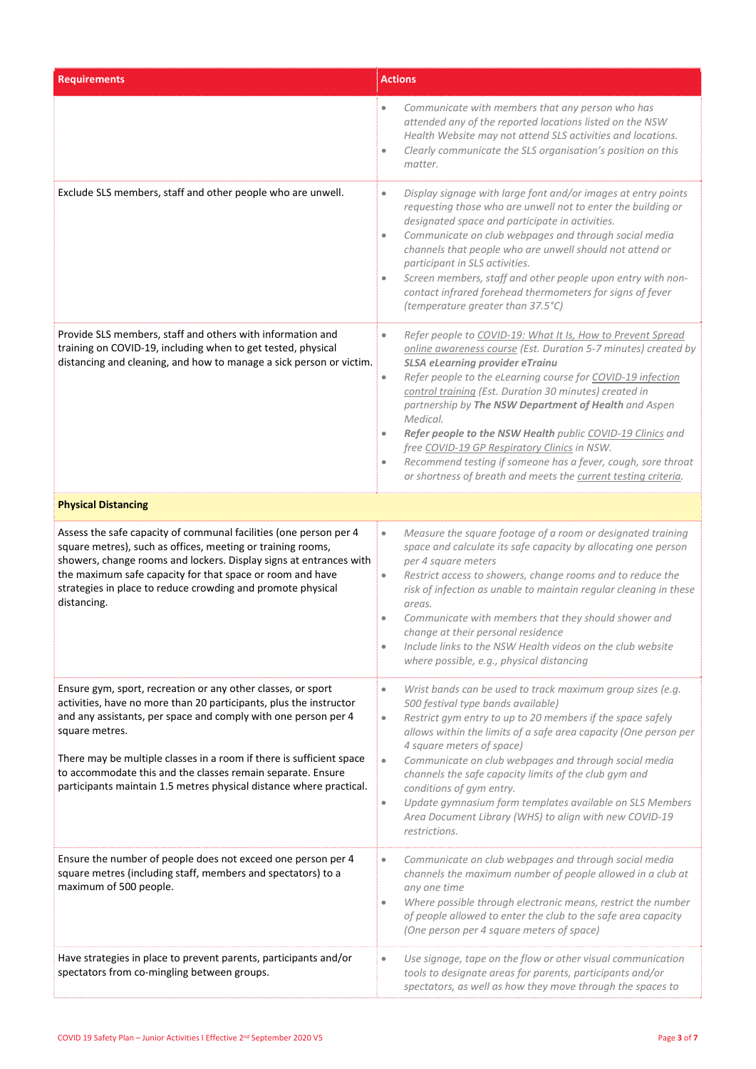| <b>Requirements</b>                                                                                                                                                                                                                                                                                                                                                                                                                  | <b>Actions</b>                                                                                                                                                                                                                                                                                                                                                                                                                                                                                                                                                                                                                                                            |
|--------------------------------------------------------------------------------------------------------------------------------------------------------------------------------------------------------------------------------------------------------------------------------------------------------------------------------------------------------------------------------------------------------------------------------------|---------------------------------------------------------------------------------------------------------------------------------------------------------------------------------------------------------------------------------------------------------------------------------------------------------------------------------------------------------------------------------------------------------------------------------------------------------------------------------------------------------------------------------------------------------------------------------------------------------------------------------------------------------------------------|
|                                                                                                                                                                                                                                                                                                                                                                                                                                      | Communicate with members that any person who has<br>$\bullet$<br>attended any of the reported locations listed on the NSW<br>Health Website may not attend SLS activities and locations.<br>Clearly communicate the SLS organisation's position on this<br>$\bullet$<br>matter.                                                                                                                                                                                                                                                                                                                                                                                           |
| Exclude SLS members, staff and other people who are unwell.                                                                                                                                                                                                                                                                                                                                                                          | Display signage with large font and/or images at entry points<br>$\bullet$<br>requesting those who are unwell not to enter the building or<br>designated space and participate in activities.<br>Communicate on club webpages and through social media<br>$\bullet$<br>channels that people who are unwell should not attend or<br>participant in SLS activities.<br>Screen members, staff and other people upon entry with non-<br>$\bullet$<br>contact infrared forehead thermometers for signs of fever<br>(temperature greater than 37.5°C)                                                                                                                           |
| Provide SLS members, staff and others with information and<br>training on COVID-19, including when to get tested, physical<br>distancing and cleaning, and how to manage a sick person or victim.                                                                                                                                                                                                                                    | Refer people to COVID-19: What It Is, How to Prevent Spread<br>$\bullet$<br>online awareness course (Est. Duration 5-7 minutes) created by<br><b>SLSA eLearning provider eTrainu</b><br>Refer people to the eLearning course for COVID-19 infection<br>$\bullet$<br>control training (Est. Duration 30 minutes) created in<br>partnership by The NSW Department of Health and Aspen<br>Medical.<br>Refer people to the NSW Health public COVID-19 Clinics and<br>$\bullet$<br>free COVID-19 GP Respiratory Clinics in NSW.<br>Recommend testing if someone has a fever, cough, sore throat<br>$\bullet$<br>or shortness of breath and meets the current testing criteria. |
| <b>Physical Distancing</b>                                                                                                                                                                                                                                                                                                                                                                                                           |                                                                                                                                                                                                                                                                                                                                                                                                                                                                                                                                                                                                                                                                           |
| Assess the safe capacity of communal facilities (one person per 4<br>square metres), such as offices, meeting or training rooms,<br>showers, change rooms and lockers. Display signs at entrances with<br>the maximum safe capacity for that space or room and have<br>strategies in place to reduce crowding and promote physical<br>distancing.                                                                                    | Measure the square footage of a room or designated training<br>$\bullet$<br>space and calculate its safe capacity by allocating one person<br>per 4 square meters<br>Restrict access to showers, change rooms and to reduce the<br>$\bullet$<br>risk of infection as unable to maintain regular cleaning in these<br>areas.<br>Communicate with members that they should shower and<br>۰<br>change at their personal residence<br>Include links to the NSW Health videos on the club website<br>۰<br>where possible, e.g., physical distancing                                                                                                                            |
| Ensure gym, sport, recreation or any other classes, or sport<br>activities, have no more than 20 participants, plus the instructor<br>and any assistants, per space and comply with one person per 4<br>square metres.<br>There may be multiple classes in a room if there is sufficient space<br>to accommodate this and the classes remain separate. Ensure<br>participants maintain 1.5 metres physical distance where practical. | Wrist bands can be used to track maximum group sizes (e.g.<br>$\bullet$<br>500 festival type bands available)<br>Restrict gym entry to up to 20 members if the space safely<br>$\bullet$<br>allows within the limits of a safe area capacity (One person per<br>4 square meters of space)<br>Communicate on club webpages and through social media<br>$\bullet$<br>channels the safe capacity limits of the club gym and<br>conditions of gym entry.<br>Update gymnasium form templates available on SLS Members<br>$\bullet$<br>Area Document Library (WHS) to align with new COVID-19<br>restrictions.                                                                  |
| Ensure the number of people does not exceed one person per 4<br>square metres (including staff, members and spectators) to a<br>maximum of 500 people.                                                                                                                                                                                                                                                                               | Communicate on club webpages and through social media<br>$\bullet$<br>channels the maximum number of people allowed in a club at<br>any one time<br>Where possible through electronic means, restrict the number<br>۰<br>of people allowed to enter the club to the safe area capacity<br>(One person per 4 square meters of space)                                                                                                                                                                                                                                                                                                                                       |
| Have strategies in place to prevent parents, participants and/or<br>spectators from co-mingling between groups.                                                                                                                                                                                                                                                                                                                      | Use signage, tape on the flow or other visual communication<br>tools to designate areas for parents, participants and/or<br>spectators, as well as how they move through the spaces to                                                                                                                                                                                                                                                                                                                                                                                                                                                                                    |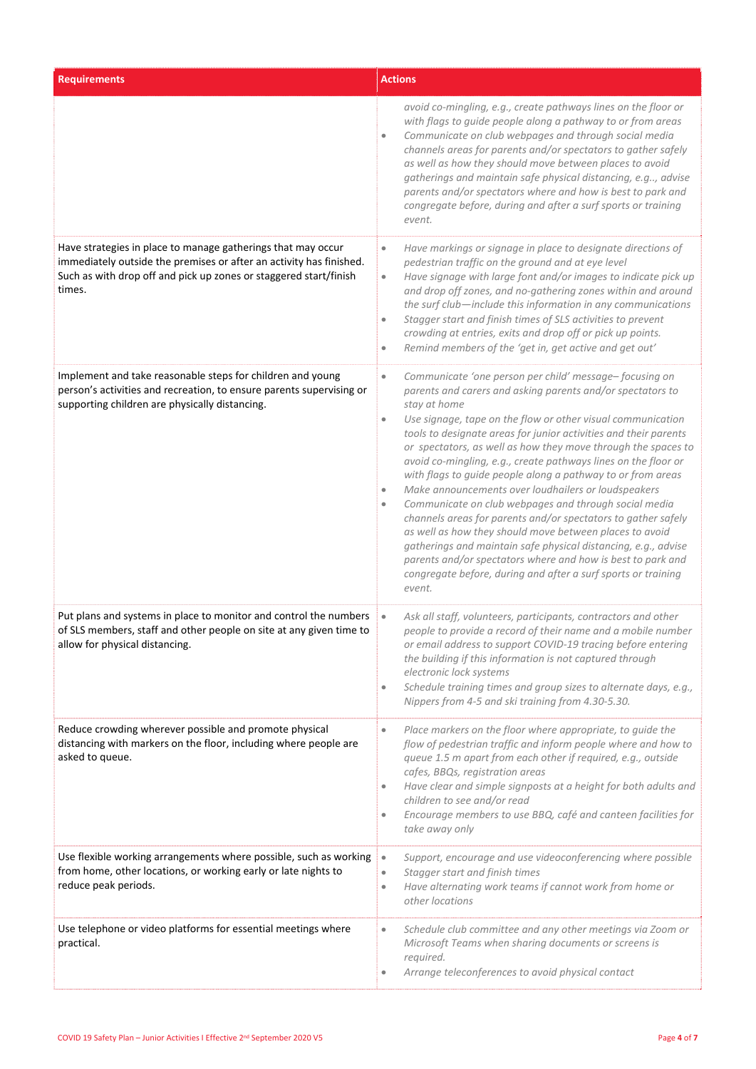| <b>Requirements</b>                                                                                                                                                                                                | <b>Actions</b>                                                                                                                                                                                                                                                                                                                                                                                                                                                                                                                                                                                                                                                                                                                                                                                                                                                                                                                                                        |
|--------------------------------------------------------------------------------------------------------------------------------------------------------------------------------------------------------------------|-----------------------------------------------------------------------------------------------------------------------------------------------------------------------------------------------------------------------------------------------------------------------------------------------------------------------------------------------------------------------------------------------------------------------------------------------------------------------------------------------------------------------------------------------------------------------------------------------------------------------------------------------------------------------------------------------------------------------------------------------------------------------------------------------------------------------------------------------------------------------------------------------------------------------------------------------------------------------|
|                                                                                                                                                                                                                    | avoid co-mingling, e.g., create pathways lines on the floor or<br>with flags to guide people along a pathway to or from areas<br>Communicate on club webpages and through social media<br>۰<br>channels areas for parents and/or spectators to gather safely<br>as well as how they should move between places to avoid<br>gatherings and maintain safe physical distancing, e.g, advise<br>parents and/or spectators where and how is best to park and<br>congregate before, during and after a surf sports or training<br>event.                                                                                                                                                                                                                                                                                                                                                                                                                                    |
| Have strategies in place to manage gatherings that may occur<br>immediately outside the premises or after an activity has finished.<br>Such as with drop off and pick up zones or staggered start/finish<br>times. | Have markings or signage in place to designate directions of<br>$\bullet$<br>pedestrian traffic on the ground and at eye level<br>Have signage with large font and/or images to indicate pick up<br>$\bullet$<br>and drop off zones, and no-gathering zones within and around<br>the surf club-include this information in any communications<br>Stagger start and finish times of SLS activities to prevent<br>۰<br>crowding at entries, exits and drop off or pick up points.<br>Remind members of the 'get in, get active and get out'<br>$\bullet$                                                                                                                                                                                                                                                                                                                                                                                                                |
| Implement and take reasonable steps for children and young<br>person's activities and recreation, to ensure parents supervising or<br>supporting children are physically distancing.                               | Communicate 'one person per child' message-focusing on<br>$\bullet$<br>parents and carers and asking parents and/or spectators to<br>stay at home<br>Use signage, tape on the flow or other visual communication<br>۰<br>tools to designate areas for junior activities and their parents<br>or spectators, as well as how they move through the spaces to<br>avoid co-mingling, e.g., create pathways lines on the floor or<br>with flags to guide people along a pathway to or from areas<br>Make announcements over loudhailers or loudspeakers<br>$\bullet$<br>Communicate on club webpages and through social media<br>۰<br>channels areas for parents and/or spectators to gather safely<br>as well as how they should move between places to avoid<br>gatherings and maintain safe physical distancing, e.g., advise<br>parents and/or spectators where and how is best to park and<br>congregate before, during and after a surf sports or training<br>event. |
| Put plans and systems in place to monitor and control the numbers<br>of SLS members, staff and other people on site at any given time to<br>allow for physical distancing.                                         | Ask all staff, volunteers, participants, contractors and other<br>$\bullet$<br>people to provide a record of their name and a mobile number<br>or email address to support COVID-19 tracing before entering<br>the building if this information is not captured through<br>electronic lock systems<br>Schedule training times and group sizes to alternate days, e.g.,<br>$\bullet$<br>Nippers from 4-5 and ski training from 4.30-5.30.                                                                                                                                                                                                                                                                                                                                                                                                                                                                                                                              |
| Reduce crowding wherever possible and promote physical<br>distancing with markers on the floor, including where people are<br>asked to queue.                                                                      | Place markers on the floor where appropriate, to guide the<br>$\bullet$<br>flow of pedestrian traffic and inform people where and how to<br>queue 1.5 m apart from each other if required, e.g., outside<br>cafes, BBQs, registration areas<br>Have clear and simple signposts at a height for both adults and<br>$\bullet$<br>children to see and/or read<br>Encourage members to use BBQ, café and canteen facilities for<br>۰<br>take away only                                                                                                                                                                                                                                                                                                                                                                                                                                                                                                                    |
| Use flexible working arrangements where possible, such as working<br>from home, other locations, or working early or late nights to<br>reduce peak periods.                                                        | Support, encourage and use videoconferencing where possible<br>$\bullet$<br>Stagger start and finish times<br>$\bullet$<br>Have alternating work teams if cannot work from home or<br>$\bullet$<br>other locations                                                                                                                                                                                                                                                                                                                                                                                                                                                                                                                                                                                                                                                                                                                                                    |
| Use telephone or video platforms for essential meetings where<br>practical.                                                                                                                                        | Schedule club committee and any other meetings via Zoom or<br>$\bullet$<br>Microsoft Teams when sharing documents or screens is<br>required.<br>Arrange teleconferences to avoid physical contact<br>۰                                                                                                                                                                                                                                                                                                                                                                                                                                                                                                                                                                                                                                                                                                                                                                |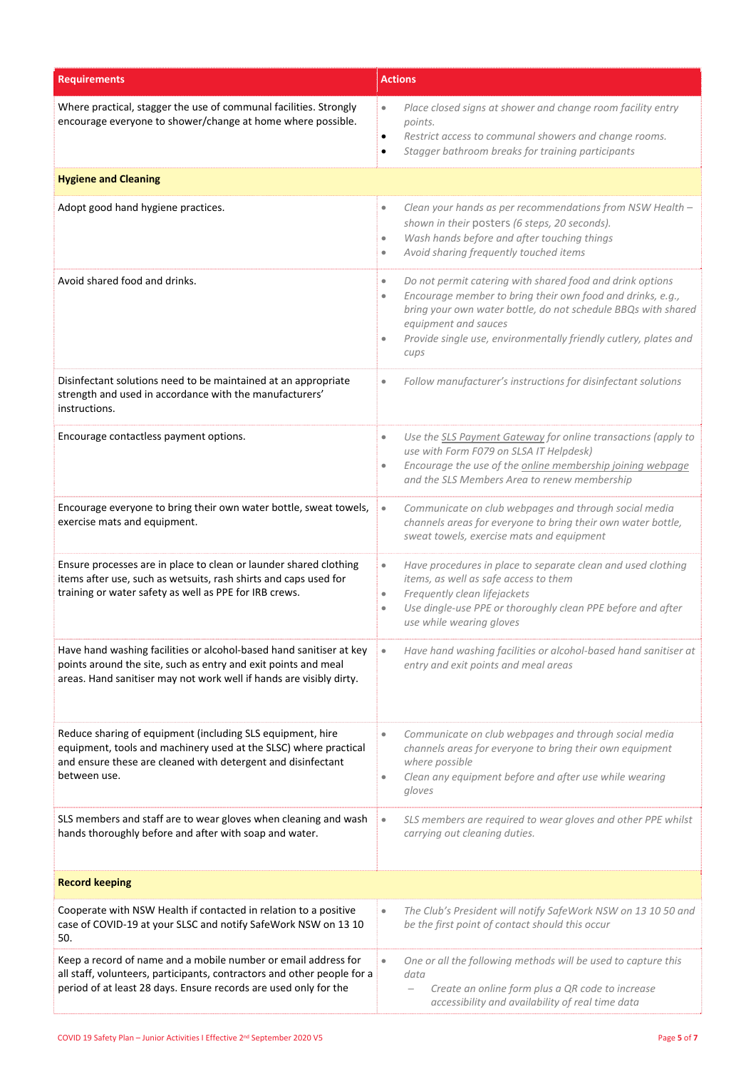| <b>Requirements</b>                                                                                                                                                                                            | <b>Actions</b>                                                                                                                                                                                                                                                                                                                      |  |
|----------------------------------------------------------------------------------------------------------------------------------------------------------------------------------------------------------------|-------------------------------------------------------------------------------------------------------------------------------------------------------------------------------------------------------------------------------------------------------------------------------------------------------------------------------------|--|
| Where practical, stagger the use of communal facilities. Strongly<br>encourage everyone to shower/change at home where possible.                                                                               | Place closed signs at shower and change room facility entry<br>$\bullet$<br>points.<br>Restrict access to communal showers and change rooms.<br>$\bullet$<br>Stagger bathroom breaks for training participants                                                                                                                      |  |
| <b>Hygiene and Cleaning</b>                                                                                                                                                                                    |                                                                                                                                                                                                                                                                                                                                     |  |
| Adopt good hand hygiene practices.                                                                                                                                                                             | Clean your hands as per recommendations from NSW Health -<br>$\bullet$<br>shown in their posters (6 steps, 20 seconds).<br>Wash hands before and after touching things<br>$\bullet$<br>Avoid sharing frequently touched items<br>۰                                                                                                  |  |
| Avoid shared food and drinks.                                                                                                                                                                                  | Do not permit catering with shared food and drink options<br>$\bullet$<br>Encourage member to bring their own food and drinks, e.g.,<br>$\bullet$<br>bring your own water bottle, do not schedule BBQs with shared<br>equipment and sauces<br>Provide single use, environmentally friendly cutlery, plates and<br>$\bullet$<br>cups |  |
| Disinfectant solutions need to be maintained at an appropriate<br>strength and used in accordance with the manufacturers'<br>instructions.                                                                     | Follow manufacturer's instructions for disinfectant solutions<br>$\bullet$                                                                                                                                                                                                                                                          |  |
| Encourage contactless payment options.                                                                                                                                                                         | Use the SLS Payment Gateway for online transactions (apply to<br>$\bullet$<br>use with Form F079 on SLSA IT Helpdesk)<br>Encourage the use of the online membership joining webpage<br>$\bullet$<br>and the SLS Members Area to renew membership                                                                                    |  |
| Encourage everyone to bring their own water bottle, sweat towels,<br>exercise mats and equipment.                                                                                                              | Communicate on club webpages and through social media<br>$\bullet$<br>channels areas for everyone to bring their own water bottle,<br>sweat towels, exercise mats and equipment                                                                                                                                                     |  |
| Ensure processes are in place to clean or launder shared clothing<br>items after use, such as wetsuits, rash shirts and caps used for<br>training or water safety as well as PPE for IRB crews.                | Have procedures in place to separate clean and used clothing<br>$\bullet$<br>items, as well as safe access to them<br>Frequently clean lifejackets<br>$\bullet$<br>Use dingle-use PPE or thoroughly clean PPE before and after<br>$\bullet$<br>use while wearing gloves                                                             |  |
| Have hand washing facilities or alcohol-based hand sanitiser at key<br>points around the site, such as entry and exit points and meal<br>areas. Hand sanitiser may not work well if hands are visibly dirty.   | Have hand washing facilities or alcohol-based hand sanitiser at<br>entry and exit points and meal areas                                                                                                                                                                                                                             |  |
| Reduce sharing of equipment (including SLS equipment, hire<br>equipment, tools and machinery used at the SLSC) where practical<br>and ensure these are cleaned with detergent and disinfectant<br>between use. | Communicate on club webpages and through social media<br>$\bullet$<br>channels areas for everyone to bring their own equipment<br>where possible<br>Clean any equipment before and after use while wearing<br>$\bullet$<br>gloves                                                                                                   |  |
| SLS members and staff are to wear gloves when cleaning and wash<br>hands thoroughly before and after with soap and water.                                                                                      | SLS members are required to wear gloves and other PPE whilst<br>$\bullet$<br>carrying out cleaning duties.                                                                                                                                                                                                                          |  |
| <b>Record keeping</b>                                                                                                                                                                                          |                                                                                                                                                                                                                                                                                                                                     |  |
| Cooperate with NSW Health if contacted in relation to a positive<br>case of COVID-19 at your SLSC and notify SafeWork NSW on 13 10<br>50.                                                                      | The Club's President will notify SafeWork NSW on 13 10 50 and<br>$\bullet$<br>be the first point of contact should this occur                                                                                                                                                                                                       |  |
| Keep a record of name and a mobile number or email address for<br>all staff, volunteers, participants, contractors and other people for a<br>period of at least 28 days. Ensure records are used only for the  | One or all the following methods will be used to capture this<br>$\bullet$<br>data<br>Create an online form plus a QR code to increase<br>accessibility and availability of real time data                                                                                                                                          |  |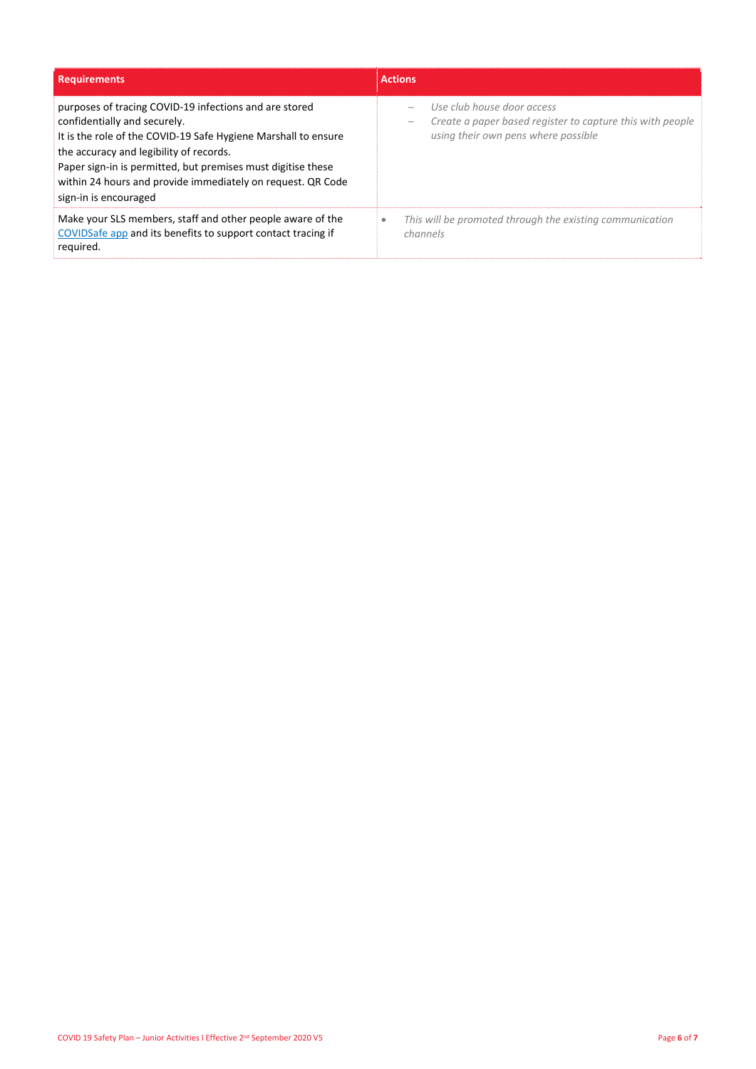| <b>Requirements</b>                                                                                                                                                                                                                                                                                                                                         | <b>Actions</b>                                                                                                                 |
|-------------------------------------------------------------------------------------------------------------------------------------------------------------------------------------------------------------------------------------------------------------------------------------------------------------------------------------------------------------|--------------------------------------------------------------------------------------------------------------------------------|
| purposes of tracing COVID-19 infections and are stored<br>confidentially and securely.<br>It is the role of the COVID-19 Safe Hygiene Marshall to ensure<br>the accuracy and legibility of records.<br>Paper sign-in is permitted, but premises must digitise these<br>within 24 hours and provide immediately on request. QR Code<br>sign-in is encouraged | Use club house door access<br>Create a paper based register to capture this with people<br>using their own pens where possible |
| Make your SLS members, staff and other people aware of the<br>COVIDSafe app and its benefits to support contact tracing if<br>required.                                                                                                                                                                                                                     | This will be promoted through the existing communication<br>channels                                                           |